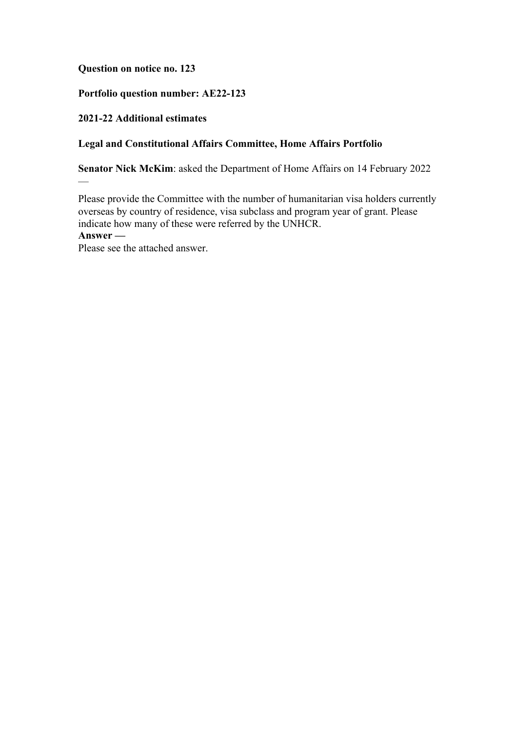### **Question on notice no. 123**

# **Portfolio question number: AE22-123**

### **2021-22 Additional estimates**

 $\overline{\phantom{0}}$ 

### **Legal and Constitutional Affairs Committee, Home Affairs Portfolio**

**Senator Nick McKim**: asked the Department of Home Affairs on 14 February 2022

Please provide the Committee with the number of humanitarian visa holders currently overseas by country of residence, visa subclass and program year of grant. Please indicate how many of these were referred by the UNHCR. **Answer —**

Please see the attached answer.